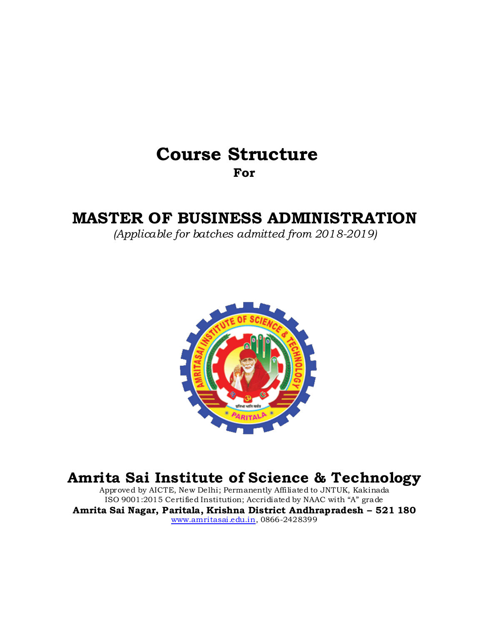# **Course Structure For**

## **MASTER OF BUSINESS ADMINISTRATION**

*(Applicable for batches admitted from 2018-2019)*



# **Amrita Sai Institute of Science & Technology**

Approved by AICTE, New Delhi; Permanently Affiliated to JNTUK, Kakinada ISO 9001:2015 Certified Institution; Accridiated by NAAC with "A" grade **Amrita Sai Nagar, Paritala, Krishna District Andhrapradesh – 521 180** [www.amritasai.edu.in,](http://www.amritasai.edu.in/) 0866-2428399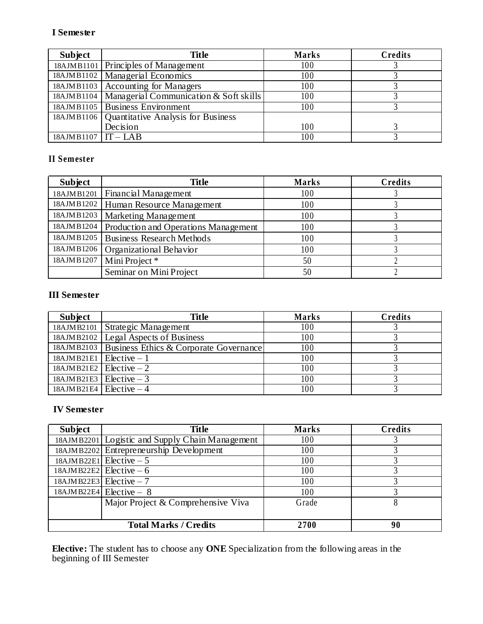#### **I Semester**

| Subject                   | <b>Title</b>                                    | <b>Marks</b> | Credits |
|---------------------------|-------------------------------------------------|--------------|---------|
|                           | 18AJMB1101 Principles of Management             | 100          |         |
|                           | 18AJMB1102   Managerial Economics               | 100          |         |
| 18AJMB1103                | <b>Accounting for Managers</b>                  | 100          |         |
| 18AJMB1104                | Managerial Communication & Soft skills          | 100          |         |
|                           | 18AJMB1105   Business Environment               | 100          |         |
|                           | 18AJMB1106   Quantitative Analysis for Business |              |         |
|                           | Decision                                        | 100          |         |
| $18$ AJMB $1107$ $IT-LAB$ |                                                 | 100          |         |

#### **II Semester**

| <b>Subject</b> | <b>Title</b>                         | Marks | Credits |
|----------------|--------------------------------------|-------|---------|
| 18AJMB1201     | Financial Management                 | 100   |         |
| 18AJMB1202     | Human Resource Management            | 100   |         |
| 18AJMB1203     | Marketing Management                 | 100   |         |
| 18AJMB1204     | Production and Operations Management | 100   |         |
| 18AJMB1205     | <b>Business Research Methods</b>     | 100   |         |
| 18AJMB1206     | Organizational Behavior              | 100   |         |
| 18AJMB1207     | Mini Project *                       | 50    |         |
|                | Seminar on Mini Project              | 50    |         |

## **III Semester**

| Subject<br><b>Title</b>      |                                                     | Marks | Credits |
|------------------------------|-----------------------------------------------------|-------|---------|
| 18AJMB2101                   | Strategic Management                                | 100   |         |
| 18AJMB2102                   | Legal Aspects of Business                           | 100   |         |
|                              | 18AJMB2103   Business Ethics & Corporate Governance | 100   |         |
| $18$ AJMB21E1   Elective – 1 |                                                     | 100   |         |
|                              | $18$ AJMB21E2   Elective – 2                        | 100   |         |
|                              | $18$ AJMB21E3   Elective – 3                        | 100   |         |
|                              | $18$ AJMB21E4   Elective $-4$                       | 100   |         |

## **IV Semester**

| <b>Title</b><br><b>Subject</b>             |                                                 | <b>Marks</b> | Credits |
|--------------------------------------------|-------------------------------------------------|--------------|---------|
|                                            | 18AJMB2201 Logistic and Supply Chain Management | 100          |         |
|                                            | 18AJMB2202 Entrepreneurship Development         | 100          |         |
|                                            | 18AJMB22E1 Elective $-5$                        | 100          |         |
|                                            | 18AJMB22E2 Elective $-6$                        | 100          |         |
|                                            | $18$ AJMB22E3 Elective - 7                      | 100          |         |
|                                            | 18AJMB22E4 Elective $-8$                        | 100          |         |
| Major Project & Comprehensive Viva         |                                                 | Grade        |         |
|                                            |                                                 |              |         |
| <b>Total Marks / Credits</b><br>2700<br>90 |                                                 |              |         |

**Elective:** The student has to choose any **ONE** Specialization from the following areas in the beginning of III Semester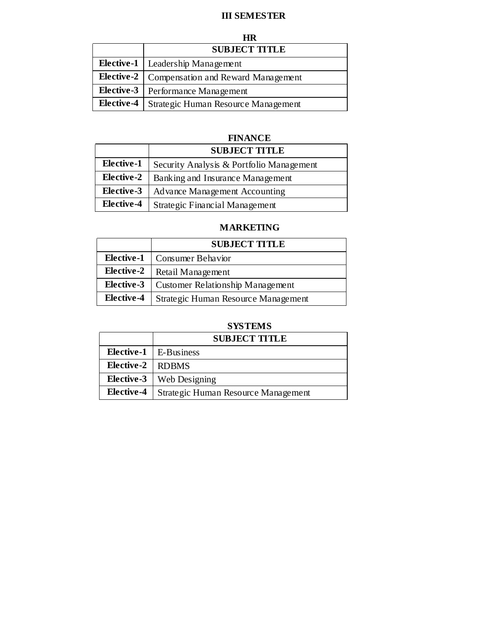#### **III SEMESTER**

|            | HR                                                     |
|------------|--------------------------------------------------------|
|            | <b>SUBJECT TITLE</b>                                   |
|            | <b>Elective-1</b>   Leadership Management              |
|            | <b>Elective-2</b>   Compensation and Reward Management |
| Elective-3 | Performance Management                                 |
| Elective-4 | Strategic Human Resource Management                    |

#### **FINANCE**

|                   | <b>SUBJECT TITLE</b>                     |
|-------------------|------------------------------------------|
| Elective-1        | Security Analysis & Portfolio Management |
| Elective-2        | Banking and Insurance Management         |
| Elective-3        | <b>Advance Management Accounting</b>     |
| <b>Elective-4</b> | Strategic Financial Management           |

## **MARKETING**

|            | <b>SUBJECT TITLE</b>                |
|------------|-------------------------------------|
| Elective-1 | Consumer Behavior                   |
| Elective-2 | Retail Management                   |
| Elective-3 | Customer Relationship Management    |
| Elective-4 | Strategic Human Resource Management |

## **SYSTEMS**

|                    | <b>SUBJECT TITLE</b>                |
|--------------------|-------------------------------------|
|                    | Elective-1   E-Business             |
| Elective-2   RDBMS |                                     |
| Elective-3         | <b>Web Designing</b>                |
| Elective-4         | Strategic Human Resource Management |